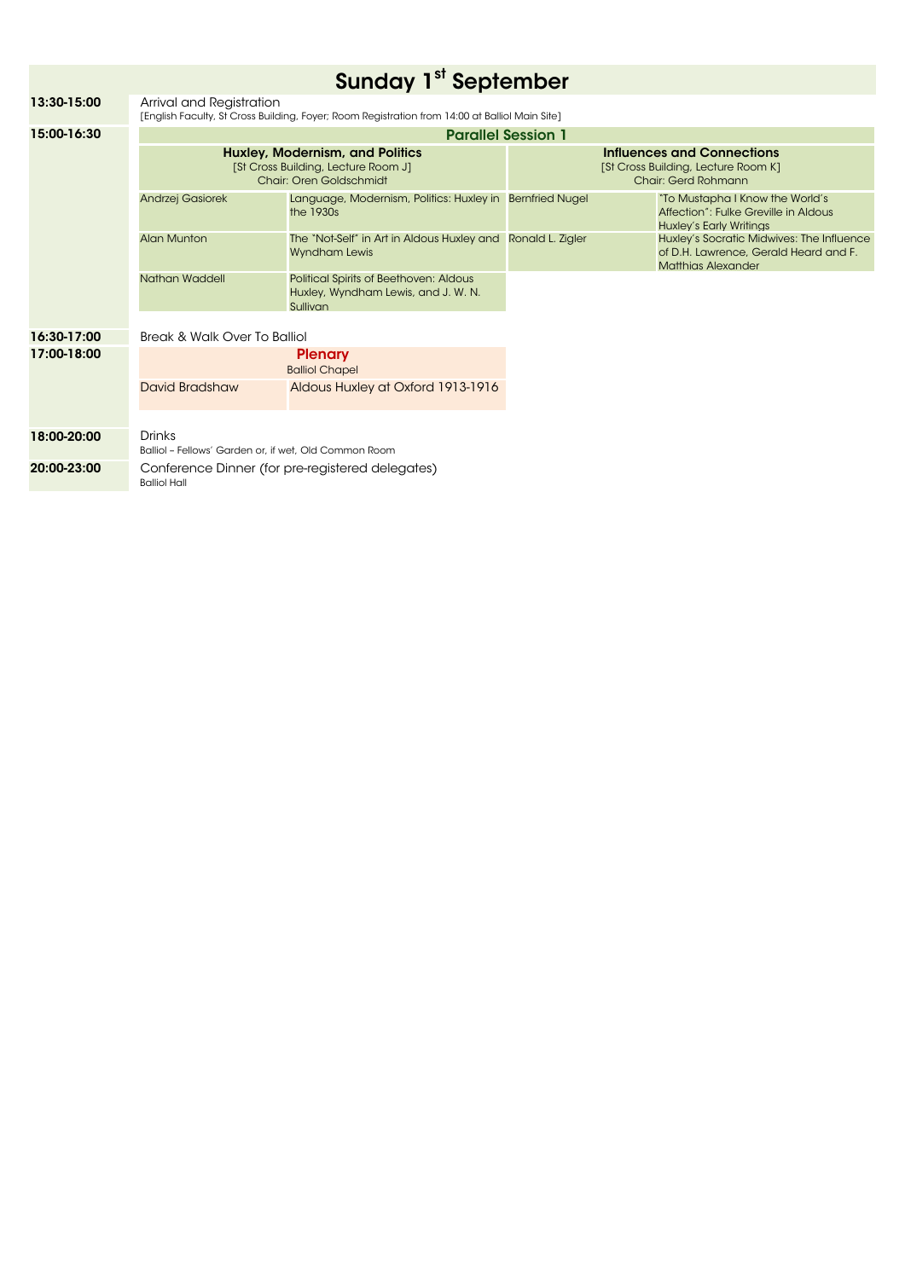## Sunday 1<sup>st</sup> September

| 13:30-15:00 | Arrival and Registration<br>[English Faculty, St Cross Building, Foyer; Room Registration from 14:00 at Balliol Main Site] |                                                                                           |                                                                                          |                                                                                                                 |  |
|-------------|----------------------------------------------------------------------------------------------------------------------------|-------------------------------------------------------------------------------------------|------------------------------------------------------------------------------------------|-----------------------------------------------------------------------------------------------------------------|--|
| 15:00-16:30 | <b>Parallel Session 1</b>                                                                                                  |                                                                                           |                                                                                          |                                                                                                                 |  |
|             | Huxley, Modernism, and Politics<br>[St Cross Building, Lecture Room J]<br><b>Chair: Oren Goldschmidt</b>                   |                                                                                           | Influences and Connections<br>[St Cross Building, Lecture Room K]<br>Chair: Gerd Rohmann |                                                                                                                 |  |
|             | <b>Andrzej Gasiorek</b>                                                                                                    | Language, Modernism, Politics: Huxley in Bernfried Nugel<br>the $1930s$                   |                                                                                          | "To Mustapha I Know the World's<br>Affection": Fulke Greville in Aldous<br><b>Huxley's Early Writinas</b>       |  |
|             | <b>Alan Munton</b>                                                                                                         | The "Not-Self" in Art in Aldous Huxley and Ronald L. Zigler<br><b>Wyndham Lewis</b>       |                                                                                          | Huxley's Socratic Midwives: The Influence<br>of D.H. Lawrence, Gerald Heard and F.<br><b>Matthias Alexander</b> |  |
|             | Nathan Waddell                                                                                                             | Political Spirits of Beethoven: Aldous<br>Huxley, Wyndham Lewis, and J. W. N.<br>Sullivan |                                                                                          |                                                                                                                 |  |
| 16:30-17:00 | Break & Walk Over To Balliol                                                                                               |                                                                                           |                                                                                          |                                                                                                                 |  |
| 17:00-18:00 |                                                                                                                            | <b>Plenary</b><br><b>Balliol Chapel</b>                                                   |                                                                                          |                                                                                                                 |  |
|             | David Bradshaw                                                                                                             | Aldous Huxley at Oxford 1913-1916                                                         |                                                                                          |                                                                                                                 |  |
|             |                                                                                                                            |                                                                                           |                                                                                          |                                                                                                                 |  |
| 18:00-20:00 | <b>Drinks</b><br>Balliol - Fellows' Garden or, if wet, Old Common Room                                                     |                                                                                           |                                                                                          |                                                                                                                 |  |
| 20:00-23:00 | Conference Dinner (for pre-registered delegates)<br><b>Balliol Hall</b>                                                    |                                                                                           |                                                                                          |                                                                                                                 |  |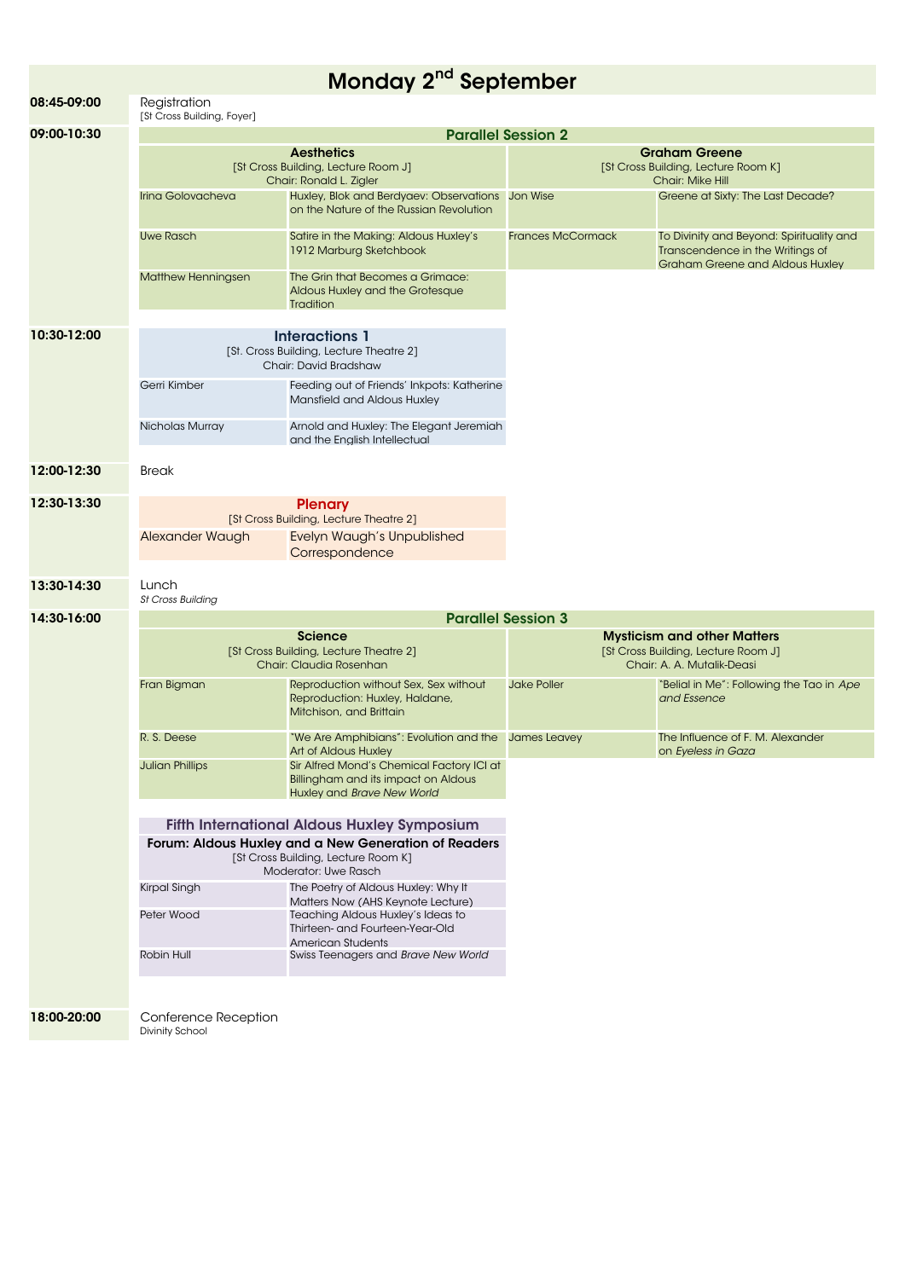## Monday 2<sup>nd</sup> September

| 08:45-09:00 | Registration<br>[St Cross Building, Foyer]                                          |                                                                                                                       |                                                                                                         |                                                                                                                        |  |
|-------------|-------------------------------------------------------------------------------------|-----------------------------------------------------------------------------------------------------------------------|---------------------------------------------------------------------------------------------------------|------------------------------------------------------------------------------------------------------------------------|--|
| 09:00-10:30 | <b>Parallel Session 2</b>                                                           |                                                                                                                       |                                                                                                         |                                                                                                                        |  |
|             | <b>Aesthetics</b><br>[St Cross Building, Lecture Room J]<br>Chair: Ronald L. Zigler |                                                                                                                       | <b>Graham Greene</b><br>[St Cross Building, Lecture Room K]<br><b>Chair: Mike Hill</b>                  |                                                                                                                        |  |
|             | Irina Golovacheva                                                                   | Huxley, Blok and Berdyaev: Observations Jon Wise<br>on the Nature of the Russian Revolution                           |                                                                                                         | Greene at Sixty: The Last Decade?                                                                                      |  |
|             | <b>Uwe Rasch</b>                                                                    | Satire in the Making: Aldous Huxley's<br>1912 Marburg Sketchbook                                                      | <b>Frances McCormack</b>                                                                                | To Divinity and Beyond: Spirituality and<br>Transcendence in the Writings of<br><b>Graham Greene and Aldous Huxley</b> |  |
|             | <b>Matthew Henningsen</b>                                                           | The Grin that Becomes a Grimace:<br>Aldous Huxley and the Grotesque<br><b>Tradition</b>                               |                                                                                                         |                                                                                                                        |  |
| 10:30-12:00 |                                                                                     | <b>Interactions 1</b>                                                                                                 |                                                                                                         |                                                                                                                        |  |
|             |                                                                                     | [St. Cross Building, Lecture Theatre 2]<br>Chair: David Bradshaw                                                      |                                                                                                         |                                                                                                                        |  |
|             | Gerri Kimber                                                                        | Feeding out of Friends' Inkpots: Katherine<br>Mansfield and Aldous Huxley                                             |                                                                                                         |                                                                                                                        |  |
|             | Nicholas Murray                                                                     | Arnold and Huxley: The Elegant Jeremiah<br>and the English Intellectual                                               |                                                                                                         |                                                                                                                        |  |
| 12:00-12:30 | <b>Break</b>                                                                        |                                                                                                                       |                                                                                                         |                                                                                                                        |  |
| 12:30-13:30 |                                                                                     | <b>Plenary</b><br>[St Cross Building, Lecture Theatre 2]                                                              |                                                                                                         |                                                                                                                        |  |
|             | <b>Alexander Waugh</b>                                                              | Evelyn Waugh's Unpublished<br>Correspondence                                                                          |                                                                                                         |                                                                                                                        |  |
| 13:30-14:30 | Lunch<br>St Cross Building                                                          |                                                                                                                       |                                                                                                         |                                                                                                                        |  |
| 14:30-16:00 | <b>Parallel Session 3</b>                                                           |                                                                                                                       |                                                                                                         |                                                                                                                        |  |
|             | <b>Science</b><br>[St Cross Building, Lecture Theatre 2]<br>Chair: Claudia Rosenhan |                                                                                                                       | <b>Mysticism and other Matters</b><br>[St Cross Building, Lecture Room J]<br>Chair: A. A. Mutalik-Deasi |                                                                                                                        |  |
|             | Fran Bigman                                                                         | Reproduction without Sex, Sex without<br>Reproduction: Huxley, Haldane,<br>Mitchison, and Brittain                    | <b>Jake Poller</b>                                                                                      | "Belial in Me": Following the Tao in Ape<br>and Essence                                                                |  |
|             | R. S. Deese                                                                         | "We Are Amphibians": Evolution and the James Leavey<br>Art of Aldous Huxley                                           |                                                                                                         | The Influence of F. M. Alexander<br>on Eyeless in Gaza                                                                 |  |
|             | <b>Julian Phillips</b>                                                              | Sir Alfred Mond's Chemical Factory ICI at<br><b>Billingham and its impact on Aldous</b><br>Huxley and Brave New World |                                                                                                         |                                                                                                                        |  |
|             |                                                                                     | <b>Fifth International Aldous Huxley Symposium</b>                                                                    |                                                                                                         |                                                                                                                        |  |
|             | Forum: Aldous Huxley and a New Generation of Readers                                |                                                                                                                       |                                                                                                         |                                                                                                                        |  |
|             |                                                                                     | [St Cross Building, Lecture Room K]<br>Moderator: Uwe Rasch                                                           |                                                                                                         |                                                                                                                        |  |
|             | Kirpal Singh                                                                        | The Poetry of Aldous Huxley: Why It<br>Matters Now (AHS Keynote Lecture)                                              |                                                                                                         |                                                                                                                        |  |
|             | Peter Wood                                                                          | Teaching Aldous Huxley's Ideas to<br>Thirteen- and Fourteen-Year-Old<br><b>American Students</b>                      |                                                                                                         |                                                                                                                        |  |
|             | Robin Hull                                                                          | Swiss Teenagers and Brave New World                                                                                   |                                                                                                         |                                                                                                                        |  |
|             |                                                                                     |                                                                                                                       |                                                                                                         |                                                                                                                        |  |
| 18:00-20:00 | Conference Reception                                                                |                                                                                                                       |                                                                                                         |                                                                                                                        |  |

Divinity School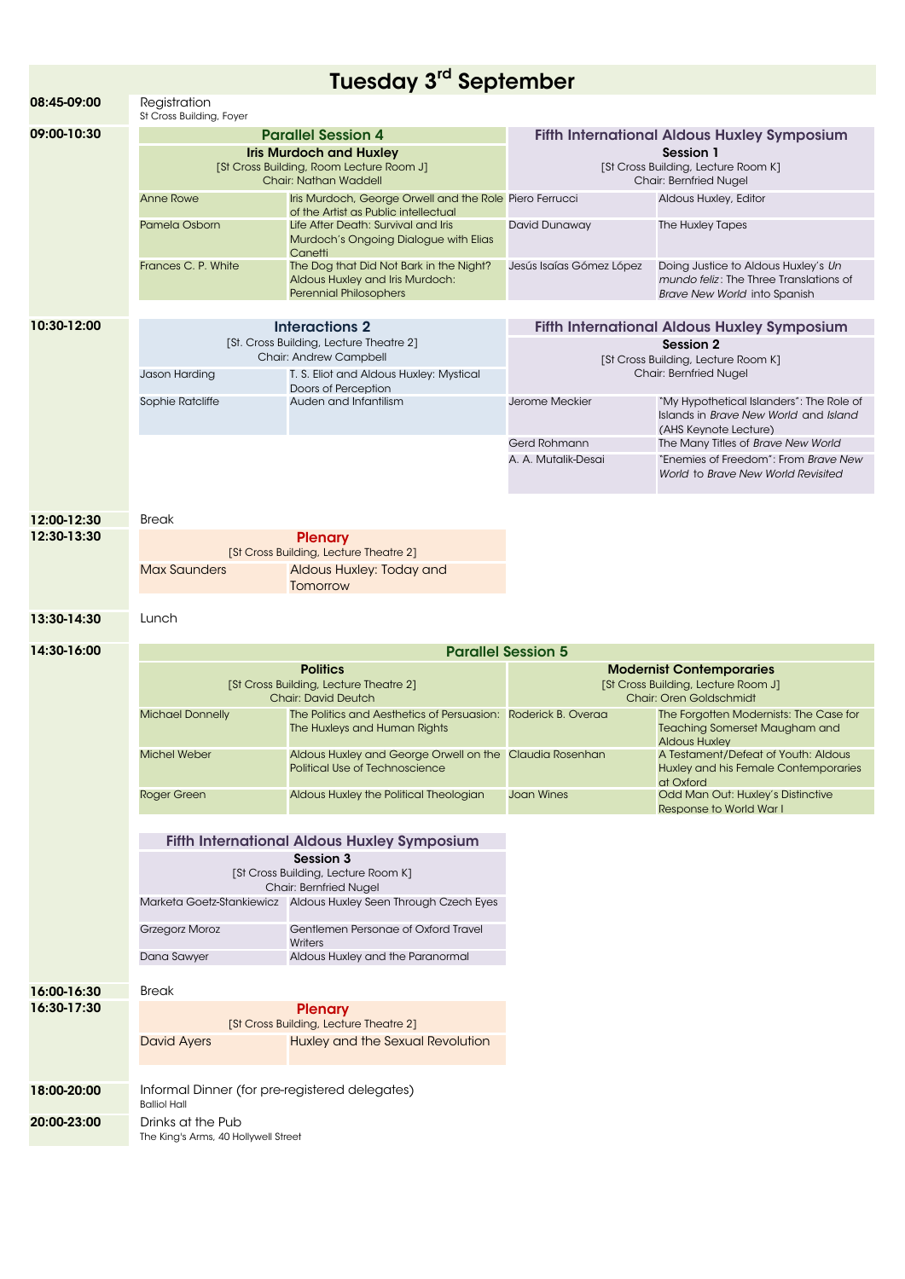| Tuesday 3 <sup>rd</sup> September |                                                                                                            |                                                                                                      |                                                                                                          |                                                                                                                      |  |
|-----------------------------------|------------------------------------------------------------------------------------------------------------|------------------------------------------------------------------------------------------------------|----------------------------------------------------------------------------------------------------------|----------------------------------------------------------------------------------------------------------------------|--|
| 08:45-09:00                       | Registration<br>St Cross Building, Foyer                                                                   |                                                                                                      |                                                                                                          |                                                                                                                      |  |
| 09:00-10:30                       | <b>Parallel Session 4</b>                                                                                  |                                                                                                      |                                                                                                          | Fifth International Aldous Huxley Symposium                                                                          |  |
|                                   | <b>Iris Murdoch and Huxley</b><br>[St Cross Building, Room Lecture Room J]<br><b>Chair: Nathan Waddell</b> |                                                                                                      | <b>Session 1</b><br>[St Cross Building, Lecture Room K]<br>Chair: Bernfried Nugel                        |                                                                                                                      |  |
|                                   | <b>Anne Rowe</b>                                                                                           | Iris Murdoch, George Orwell and the Role Piero Ferrucci<br>of the Artist as Public intellectual      |                                                                                                          | Aldous Huxley, Editor                                                                                                |  |
|                                   | Pamela Osborn                                                                                              | Life After Death: Survival and Iris<br>Murdoch's Ongoing Dialogue with Elias<br>Canetti              | David Dunaway                                                                                            | The Huxley Tapes                                                                                                     |  |
|                                   | Frances C. P. White                                                                                        | The Dog that Did Not Bark in the Night?<br>Aldous Huxley and Iris Murdoch:<br>Perennial Philosophers | Jesús Isaías Gómez López                                                                                 | Doing Justice to Aldous Huxley's Un<br>mundo feliz: The Three Translations of<br><b>Brave New World into Spanish</b> |  |
|                                   |                                                                                                            |                                                                                                      |                                                                                                          |                                                                                                                      |  |
| 10:30-12:00                       | <b>Interactions 2</b><br>[St. Cross Building, Lecture Theatre 2]<br><b>Chair: Andrew Campbell</b>          |                                                                                                      | <b>Fifth International Aldous Huxley Symposium</b><br><b>Session 2</b>                                   |                                                                                                                      |  |
|                                   | Jason Harding                                                                                              | T. S. Eliot and Aldous Huxley: Mystical<br>Doors of Perception                                       | [St Cross Building, Lecture Room K]<br><b>Chair: Bernfried Nugel</b>                                     |                                                                                                                      |  |
|                                   | Sophie Ratcliffe                                                                                           | Auden and Infantilism                                                                                | Jerome Meckier                                                                                           | "My Hypothetical Islanders": The Role of<br>Islands in Brave New World and Island<br>(AHS Keynote Lecture)           |  |
|                                   |                                                                                                            |                                                                                                      | Gerd Rohmann                                                                                             | The Many Titles of Brave New World                                                                                   |  |
|                                   |                                                                                                            |                                                                                                      | A. A. Mutalik-Desai                                                                                      | "Enemies of Freedom": From Brave New<br>World to Brave New World Revisited                                           |  |
|                                   |                                                                                                            |                                                                                                      |                                                                                                          |                                                                                                                      |  |
| 12:00-12:30<br>12:30-13:30        | <b>Break</b>                                                                                               | <b>Plenary</b>                                                                                       |                                                                                                          |                                                                                                                      |  |
|                                   |                                                                                                            | [St Cross Building, Lecture Theatre 2]                                                               |                                                                                                          |                                                                                                                      |  |
|                                   | <b>Max Saunders</b>                                                                                        | Aldous Huxley: Today and<br>Tomorrow                                                                 |                                                                                                          |                                                                                                                      |  |
| 13:30-14:30                       | Lunch                                                                                                      |                                                                                                      |                                                                                                          |                                                                                                                      |  |
| 14:30-16:00                       |                                                                                                            |                                                                                                      | <b>Parallel Session 5</b>                                                                                |                                                                                                                      |  |
|                                   | <b>Politics</b><br>[St Cross Building, Lecture Theatre 2]<br><b>Chair: David Deutch</b>                    |                                                                                                      | <b>Modernist Contemporaries</b><br>[St Cross Building, Lecture Room J]<br><b>Chair: Oren Goldschmidt</b> |                                                                                                                      |  |
|                                   | <b>Michael Donnelly</b>                                                                                    | The Politics and Aesthetics of Persuasion: Roderick B. Overaa<br>The Huxleys and Human Rights        |                                                                                                          | The Forgotten Modernists: The Case for<br>Teaching Somerset Maugham and<br><b>Aldous Huxley</b>                      |  |
|                                   | <b>Michel Weber</b>                                                                                        | Aldous Huxley and George Orwell on the Claudia Rosenhan<br><b>Political Use of Technoscience</b>     |                                                                                                          | A Testament/Defeat of Youth: Aldous<br>Huxley and his Female Contemporaries<br>at Oxford                             |  |
|                                   | <b>Roger Green</b>                                                                                         | Aldous Huxley the Political Theologian                                                               | <b>Joan Wines</b>                                                                                        | Odd Man Out: Huxley's Distinctive<br>Response to World War I                                                         |  |
|                                   | <b>Fifth International Aldous Huxley Symposium</b>                                                         |                                                                                                      |                                                                                                          |                                                                                                                      |  |
|                                   | Session 3<br>[St Cross Building, Lecture Room K]                                                           |                                                                                                      |                                                                                                          |                                                                                                                      |  |
|                                   |                                                                                                            | <b>Chair: Bernfried Nugel</b><br>Marketa Goetz-Stankiewicz Aldous Huxley Seen Through Czech Eyes     |                                                                                                          |                                                                                                                      |  |
|                                   | <b>Grzegorz Moroz</b>                                                                                      | Gentlemen Personae of Oxford Travel<br>Writers                                                       |                                                                                                          |                                                                                                                      |  |
|                                   | Dana Sawyer                                                                                                | Aldous Huxley and the Paranormal                                                                     |                                                                                                          |                                                                                                                      |  |
| 16:00-16:30                       | <b>Break</b>                                                                                               |                                                                                                      |                                                                                                          |                                                                                                                      |  |
| 16:30-17:30                       |                                                                                                            | <b>Plenary</b>                                                                                       |                                                                                                          |                                                                                                                      |  |
|                                   |                                                                                                            | [St Cross Building, Lecture Theatre 2]                                                               |                                                                                                          |                                                                                                                      |  |
|                                   | <b>David Ayers</b>                                                                                         | Huxley and the Sexual Revolution                                                                     |                                                                                                          |                                                                                                                      |  |
|                                   |                                                                                                            |                                                                                                      |                                                                                                          |                                                                                                                      |  |
| 18:00-20:00<br>20:00-23:00        | Informal Dinner (for pre-registered delegates)<br><b>Balliol Hall</b><br>Drinks at the Pub                 |                                                                                                      |                                                                                                          |                                                                                                                      |  |